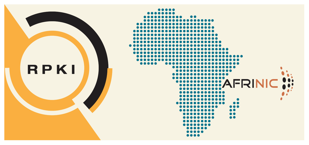